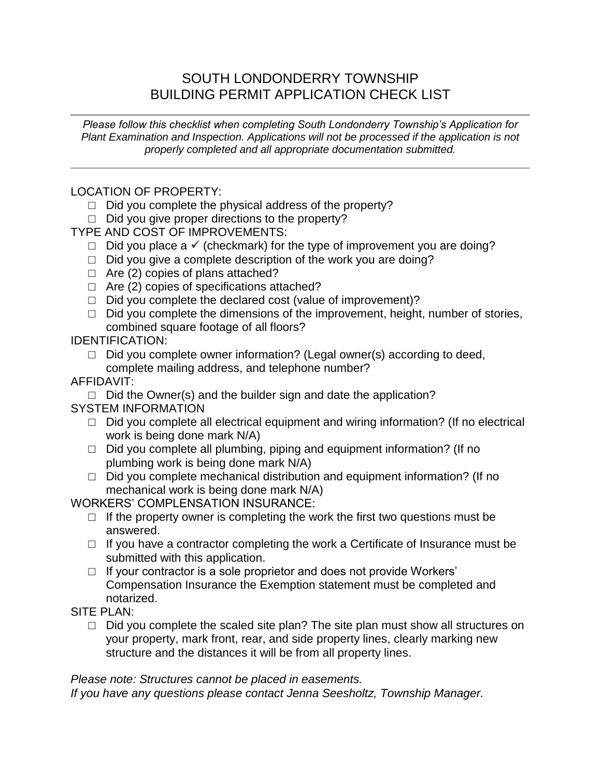## SOUTH LONDONDERRY TOWNSHIP BUILDING PERMIT APPLICATION CHECK LIST

*Please follow this checklist when completing South Londonderry Township's Application for Plant Examination and Inspection. Applications will not be processed if the application is not properly completed and all appropriate documentation submitted.* 

LOCATION OF PROPERTY:

- $\Box$  Did you complete the physical address of the property?
- $\Box$  Did you give proper directions to the property?

TYPE AND COST OF IMPROVEMENTS:

- $\Box$  Did you place a  $\checkmark$  (checkmark) for the type of improvement you are doing?
- □ Did you give a complete description of the work you are doing?
- $\Box$  Are (2) copies of plans attached?
- $\Box$  Are (2) copies of specifications attached?
- $\Box$  Did you complete the declared cost (value of improvement)?
- $\Box$  Did you complete the dimensions of the improvement, height, number of stories, combined square footage of all floors?

IDENTIFICATION:

 $\Box$  Did you complete owner information? (Legal owner(s) according to deed, complete mailing address, and telephone number?

AFFIDAVIT:

- $\Box$  Did the Owner(s) and the builder sign and date the application? SYSTEM INFORMATION
	- □ Did you complete all electrical equipment and wiring information? (If no electrical work is being done mark N/A)
	- $\Box$  Did you complete all plumbing, piping and equipment information? (If no plumbing work is being done mark N/A)
	- $\Box$  Did you complete mechanical distribution and equipment information? (If no mechanical work is being done mark N/A)

WORKERS' COMPLENSATION INSURANCE:

- $\Box$  If the property owner is completing the work the first two questions must be answered.
- □ If you have a contractor completing the work a Certificate of Insurance must be submitted with this application.
- $\Box$  If your contractor is a sole proprietor and does not provide Workers' Compensation Insurance the Exemption statement must be completed and notarized.

SITE PLAN:

 $\Box$  Did you complete the scaled site plan? The site plan must show all structures on your property, mark front, rear, and side property lines, clearly marking new structure and the distances it will be from all property lines.

*Please note: Structures cannot be placed in easements.*

*If you have any questions please contact Jenna Seesholtz, Township Manager.*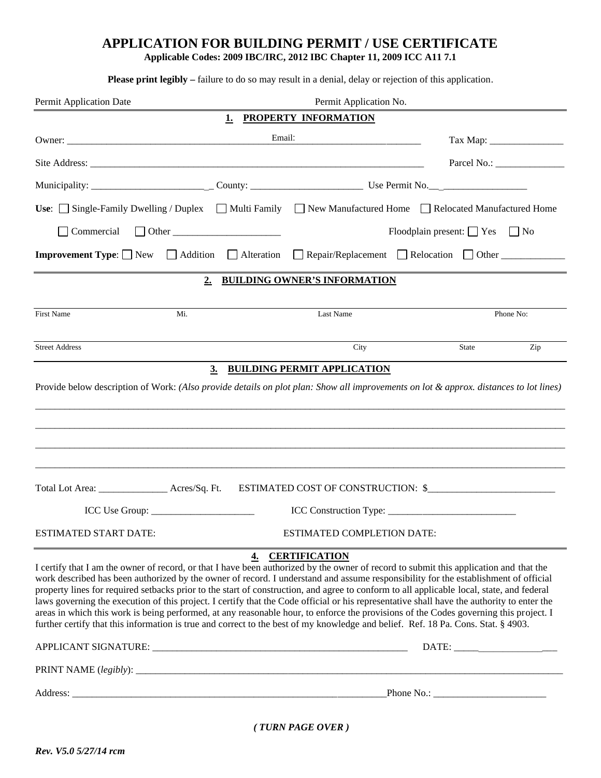## APPLICATION FOR BUILDING PERMIT / USE CERTIFICATE

Applicable Codes: 2009 IBC/IRC, 2012 IBC Chapter 11, 2009 ICC A11 7.1

Please print legibly - failure to do so may result in a denial, delay or rejection of this application.

| Permit Application Date<br>Permit Application No.                                                                                                                                                                                                                                                                                                                                                                                                                                                                                                                                                                                                                                                                                                                                                                                                      |                            |                                                                 |                                                                                                                                         |  |  |  |  |  |  |
|--------------------------------------------------------------------------------------------------------------------------------------------------------------------------------------------------------------------------------------------------------------------------------------------------------------------------------------------------------------------------------------------------------------------------------------------------------------------------------------------------------------------------------------------------------------------------------------------------------------------------------------------------------------------------------------------------------------------------------------------------------------------------------------------------------------------------------------------------------|----------------------------|-----------------------------------------------------------------|-----------------------------------------------------------------------------------------------------------------------------------------|--|--|--|--|--|--|
|                                                                                                                                                                                                                                                                                                                                                                                                                                                                                                                                                                                                                                                                                                                                                                                                                                                        | 1.                         | PROPERTY INFORMATION                                            |                                                                                                                                         |  |  |  |  |  |  |
|                                                                                                                                                                                                                                                                                                                                                                                                                                                                                                                                                                                                                                                                                                                                                                                                                                                        | Email:                     | <u> 1989 - Johann Barn, mars an t-Amerikaansk kommunister (</u> |                                                                                                                                         |  |  |  |  |  |  |
|                                                                                                                                                                                                                                                                                                                                                                                                                                                                                                                                                                                                                                                                                                                                                                                                                                                        |                            |                                                                 |                                                                                                                                         |  |  |  |  |  |  |
|                                                                                                                                                                                                                                                                                                                                                                                                                                                                                                                                                                                                                                                                                                                                                                                                                                                        |                            |                                                                 |                                                                                                                                         |  |  |  |  |  |  |
|                                                                                                                                                                                                                                                                                                                                                                                                                                                                                                                                                                                                                                                                                                                                                                                                                                                        |                            |                                                                 | Use: $\Box$ Single-Family Dwelling / Duplex $\Box$ Multi Family $\Box$ New Manufactured Home $\Box$ Relocated Manufactured Home         |  |  |  |  |  |  |
| Commercial                                                                                                                                                                                                                                                                                                                                                                                                                                                                                                                                                                                                                                                                                                                                                                                                                                             |                            | Floodplain present: $\Box$ Yes $\Box$ No                        |                                                                                                                                         |  |  |  |  |  |  |
| <b>Improvement Type:</b> $\Box$ New $\Box$ Addition $\Box$ Alteration                                                                                                                                                                                                                                                                                                                                                                                                                                                                                                                                                                                                                                                                                                                                                                                  |                            |                                                                 | Repair/Replacement Relocation Other                                                                                                     |  |  |  |  |  |  |
|                                                                                                                                                                                                                                                                                                                                                                                                                                                                                                                                                                                                                                                                                                                                                                                                                                                        | 2.                         | <b>BUILDING OWNER'S INFORMATION</b>                             |                                                                                                                                         |  |  |  |  |  |  |
|                                                                                                                                                                                                                                                                                                                                                                                                                                                                                                                                                                                                                                                                                                                                                                                                                                                        |                            |                                                                 |                                                                                                                                         |  |  |  |  |  |  |
| <b>First Name</b><br>Mi.                                                                                                                                                                                                                                                                                                                                                                                                                                                                                                                                                                                                                                                                                                                                                                                                                               |                            | Last Name                                                       | Phone No:                                                                                                                               |  |  |  |  |  |  |
| <b>Street Address</b>                                                                                                                                                                                                                                                                                                                                                                                                                                                                                                                                                                                                                                                                                                                                                                                                                                  |                            | City                                                            | Zip<br>State                                                                                                                            |  |  |  |  |  |  |
|                                                                                                                                                                                                                                                                                                                                                                                                                                                                                                                                                                                                                                                                                                                                                                                                                                                        | 3 <sub>l</sub>             | <b>BUILDING PERMIT APPLICATION</b>                              |                                                                                                                                         |  |  |  |  |  |  |
|                                                                                                                                                                                                                                                                                                                                                                                                                                                                                                                                                                                                                                                                                                                                                                                                                                                        |                            |                                                                 | Provide below description of Work: (Also provide details on plot plan: Show all improvements on lot & approx. distances to lot lines)   |  |  |  |  |  |  |
|                                                                                                                                                                                                                                                                                                                                                                                                                                                                                                                                                                                                                                                                                                                                                                                                                                                        |                            |                                                                 |                                                                                                                                         |  |  |  |  |  |  |
|                                                                                                                                                                                                                                                                                                                                                                                                                                                                                                                                                                                                                                                                                                                                                                                                                                                        |                            |                                                                 |                                                                                                                                         |  |  |  |  |  |  |
|                                                                                                                                                                                                                                                                                                                                                                                                                                                                                                                                                                                                                                                                                                                                                                                                                                                        |                            |                                                                 |                                                                                                                                         |  |  |  |  |  |  |
|                                                                                                                                                                                                                                                                                                                                                                                                                                                                                                                                                                                                                                                                                                                                                                                                                                                        |                            |                                                                 |                                                                                                                                         |  |  |  |  |  |  |
| Total Lot Area: ___________________ Acres/Sq. Ft.                                                                                                                                                                                                                                                                                                                                                                                                                                                                                                                                                                                                                                                                                                                                                                                                      |                            |                                                                 | ESTIMATED COST OF CONSTRUCTION: \$                                                                                                      |  |  |  |  |  |  |
|                                                                                                                                                                                                                                                                                                                                                                                                                                                                                                                                                                                                                                                                                                                                                                                                                                                        |                            |                                                                 |                                                                                                                                         |  |  |  |  |  |  |
| <b>ESTIMATED START DATE:</b>                                                                                                                                                                                                                                                                                                                                                                                                                                                                                                                                                                                                                                                                                                                                                                                                                           | ESTIMATED COMPLETION DATE: |                                                                 |                                                                                                                                         |  |  |  |  |  |  |
|                                                                                                                                                                                                                                                                                                                                                                                                                                                                                                                                                                                                                                                                                                                                                                                                                                                        |                            |                                                                 |                                                                                                                                         |  |  |  |  |  |  |
| I certify that I am the owner of record, or that I have been authorized by the owner of record to submit this application and that the<br>work described has been authorized by the owner of record. I understand and assume responsibility for the establishment of official<br>property lines for required setbacks prior to the start of construction, and agree to conform to all applicable local, state, and federal<br>laws governing the execution of this project. I certify that the Code official or his representative shall have the authority to enter the<br>areas in which this work is being performed, at any reasonable hour, to enforce the provisions of the Codes governing this project. I<br>further certify that this information is true and correct to the best of my knowledge and belief. Ref. 18 Pa. Cons. Stat. § 4903. | 4.                         | <b>CERTIFICATION</b>                                            | $\text{DATE:}\underbrace{\hspace{2.5cm}}_{\text{1.15}}\underbrace{\hspace{2.5cm}}_{\text{2.2}}\underbrace{\hspace{2.5cm}}_{\text{3.3}}$ |  |  |  |  |  |  |
|                                                                                                                                                                                                                                                                                                                                                                                                                                                                                                                                                                                                                                                                                                                                                                                                                                                        |                            |                                                                 |                                                                                                                                         |  |  |  |  |  |  |
|                                                                                                                                                                                                                                                                                                                                                                                                                                                                                                                                                                                                                                                                                                                                                                                                                                                        |                            |                                                                 |                                                                                                                                         |  |  |  |  |  |  |

 $(\mbox{{\it TURN PAGE OVER}})$